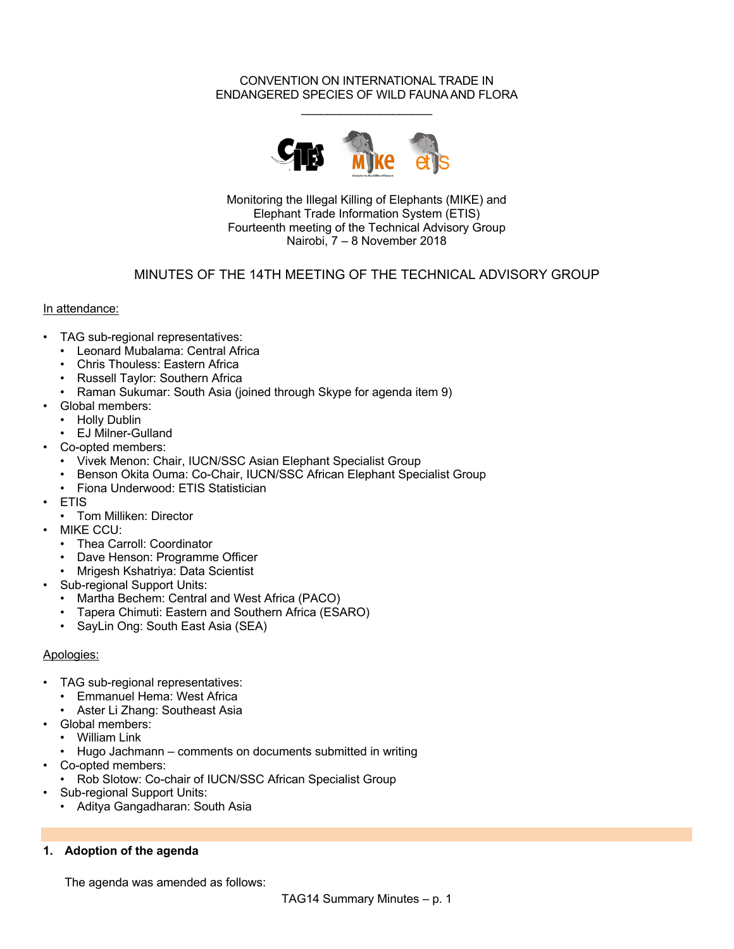#### CONVENTION ON INTERNATIONAL TRADE IN ENDANGERED SPECIES OF WILD FAUNA AND FLORA  $\_$



Monitoring the Illegal Killing of Elephants (MIKE) and Elephant Trade Information System (ETIS) Fourteenth meeting of the Technical Advisory Group Nairobi, 7 – 8 November 2018

### MINUTES OF THE 14TH MEETING OF THE TECHNICAL ADVISORY GROUP

#### In attendance:

- TAG sub-regional representatives:
	- Leonard Mubalama: Central Africa
	- Chris Thouless: Eastern Africa
	- Russell Taylor: Southern Africa
	- Raman Sukumar: South Asia (joined through Skype for agenda item 9)
- Global members:
	- Holly Dublin
	- EJ Milner-Gulland
- Co-opted members:
	- Vivek Menon: Chair, IUCN/SSC Asian Elephant Specialist Group
	- Benson Okita Ouma: Co-Chair, IUCN/SSC African Elephant Specialist Group
	- Fiona Underwood: ETIS Statistician
- ETIS
	- Tom Milliken: Director
- MIKE CCU:
	- Thea Carroll: Coordinator
	- Dave Henson: Programme Officer
	- Mrigesh Kshatriya: Data Scientist
- Sub-regional Support Units:
	- Martha Bechem: Central and West Africa (PACO)
	- Tapera Chimuti: Eastern and Southern Africa (ESARO)
	- SayLin Ong: South East Asia (SEA)

#### Apologies:

- TAG sub-regional representatives:
	- Emmanuel Hema: West Africa
	- Aster Li Zhang: Southeast Asia
- Global members:
	- William Link
- Hugo Jachmann comments on documents submitted in writing
- Co-opted members:
	- Rob Slotow: Co-chair of IUCN/SSC African Specialist Group
- Sub-regional Support Units:
	- Aditya Gangadharan: South Asia

#### **1. Adoption of the agenda**

The agenda was amended as follows: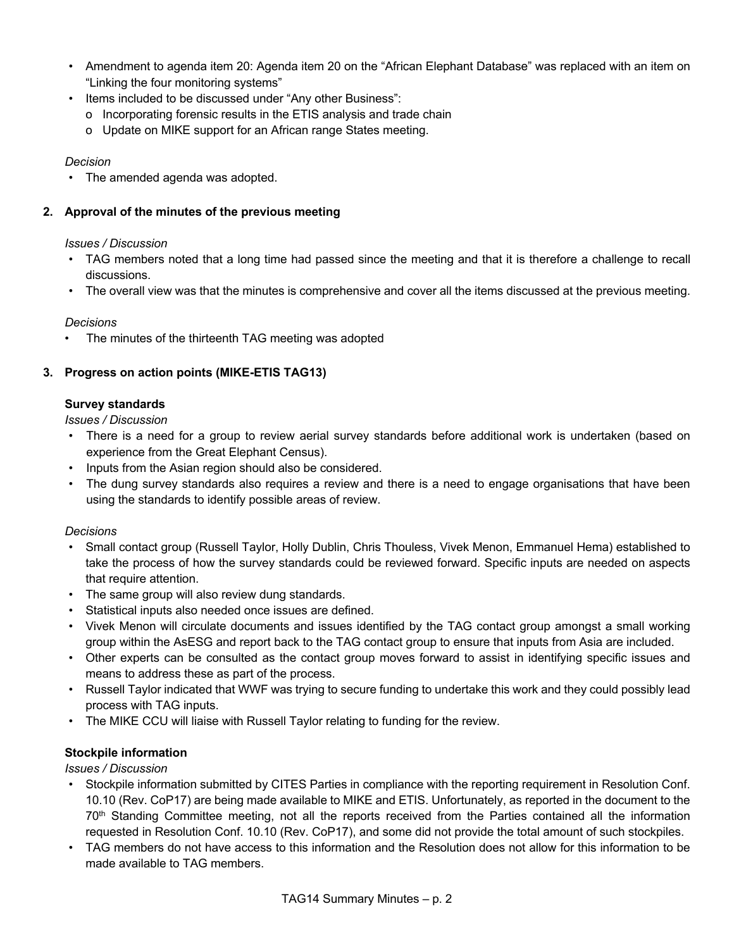- Amendment to agenda item 20: Agenda item 20 on the "African Elephant Database" was replaced with an item on "Linking the four monitoring systems"
- Items included to be discussed under "Any other Business":
	- o Incorporating forensic results in the ETIS analysis and trade chain
	- o Update on MIKE support for an African range States meeting.

• The amended agenda was adopted.

## **2. Approval of the minutes of the previous meeting**

#### *Issues / Discussion*

- TAG members noted that a long time had passed since the meeting and that it is therefore a challenge to recall discussions.
- The overall view was that the minutes is comprehensive and cover all the items discussed at the previous meeting.

### *Decisions*

The minutes of the thirteenth TAG meeting was adopted

## **3. Progress on action points (MIKE-ETIS TAG13)**

### **Survey standards**

*Issues / Discussion*

- There is a need for a group to review aerial survey standards before additional work is undertaken (based on experience from the Great Elephant Census).
- Inputs from the Asian region should also be considered.
- The dung survey standards also requires a review and there is a need to engage organisations that have been using the standards to identify possible areas of review.

### *Decisions*

- Small contact group (Russell Taylor, Holly Dublin, Chris Thouless, Vivek Menon, Emmanuel Hema) established to take the process of how the survey standards could be reviewed forward. Specific inputs are needed on aspects that require attention.
- The same group will also review dung standards.
- Statistical inputs also needed once issues are defined.
- Vivek Menon will circulate documents and issues identified by the TAG contact group amongst a small working group within the AsESG and report back to the TAG contact group to ensure that inputs from Asia are included.
- Other experts can be consulted as the contact group moves forward to assist in identifying specific issues and means to address these as part of the process.
- Russell Taylor indicated that WWF was trying to secure funding to undertake this work and they could possibly lead process with TAG inputs.
- The MIKE CCU will liaise with Russell Taylor relating to funding for the review.

### **Stockpile information**

- Stockpile information submitted by CITES Parties in compliance with the reporting requirement in Resolution Conf. 10.10 (Rev. CoP17) are being made available to MIKE and ETIS. Unfortunately, as reported in the document to the 70th Standing Committee meeting, not all the reports received from the Parties contained all the information requested in Resolution Conf. 10.10 (Rev. CoP17), and some did not provide the total amount of such stockpiles.
- TAG members do not have access to this information and the Resolution does not allow for this information to be made available to TAG members.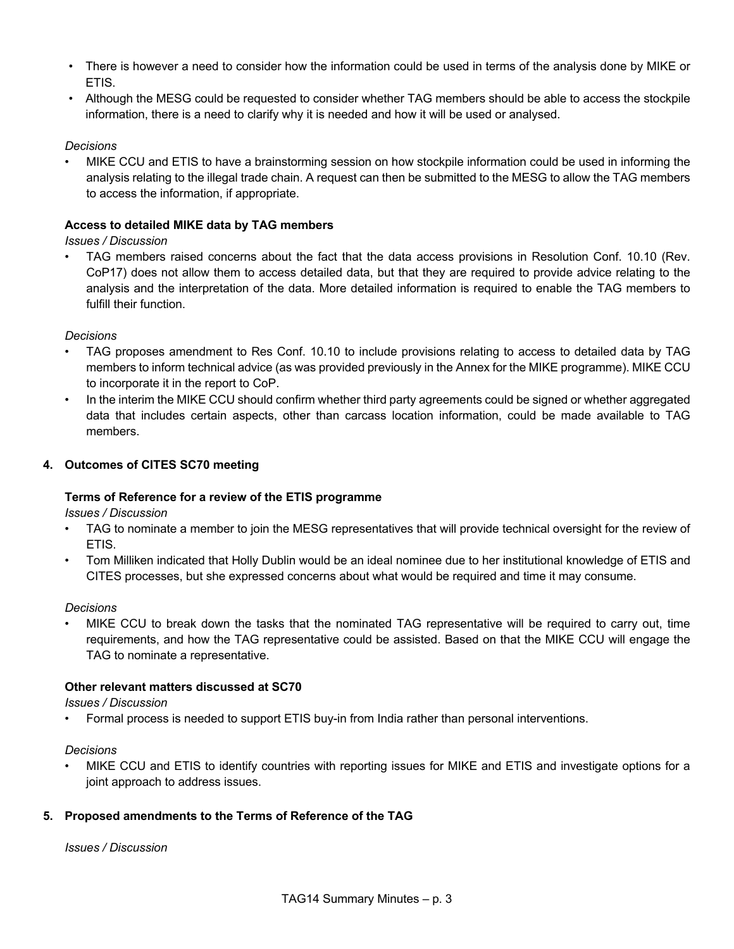- There is however a need to consider how the information could be used in terms of the analysis done by MIKE or ETIS.
- Although the MESG could be requested to consider whether TAG members should be able to access the stockpile information, there is a need to clarify why it is needed and how it will be used or analysed.

• MIKE CCU and ETIS to have a brainstorming session on how stockpile information could be used in informing the analysis relating to the illegal trade chain. A request can then be submitted to the MESG to allow the TAG members to access the information, if appropriate.

### **Access to detailed MIKE data by TAG members**

*Issues / Discussion*

• TAG members raised concerns about the fact that the data access provisions in Resolution Conf. 10.10 (Rev. CoP17) does not allow them to access detailed data, but that they are required to provide advice relating to the analysis and the interpretation of the data. More detailed information is required to enable the TAG members to fulfill their function.

*Decisions*

- TAG proposes amendment to Res Conf. 10.10 to include provisions relating to access to detailed data by TAG members to inform technical advice (as was provided previously in the Annex for the MIKE programme). MIKE CCU to incorporate it in the report to CoP.
- In the interim the MIKE CCU should confirm whether third party agreements could be signed or whether aggregated data that includes certain aspects, other than carcass location information, could be made available to TAG members.

## **4. Outcomes of CITES SC70 meeting**

### **Terms of Reference for a review of the ETIS programme**

*Issues / Discussion*

- TAG to nominate a member to join the MESG representatives that will provide technical oversight for the review of ETIS.
- Tom Milliken indicated that Holly Dublin would be an ideal nominee due to her institutional knowledge of ETIS and CITES processes, but she expressed concerns about what would be required and time it may consume.

### *Decisions*

• MIKE CCU to break down the tasks that the nominated TAG representative will be required to carry out, time requirements, and how the TAG representative could be assisted. Based on that the MIKE CCU will engage the TAG to nominate a representative.

### **Other relevant matters discussed at SC70**

*Issues / Discussion*

• Formal process is needed to support ETIS buy-in from India rather than personal interventions.

*Decisions*

• MIKE CCU and ETIS to identify countries with reporting issues for MIKE and ETIS and investigate options for a joint approach to address issues.

### **5. Proposed amendments to the Terms of Reference of the TAG**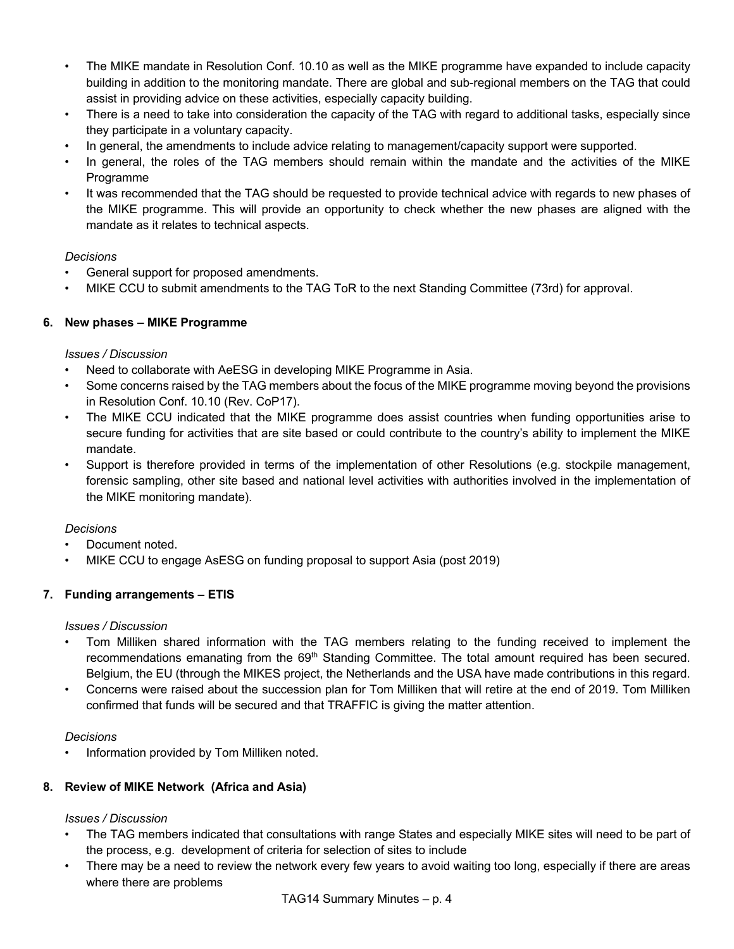- The MIKE mandate in Resolution Conf. 10.10 as well as the MIKE programme have expanded to include capacity building in addition to the monitoring mandate. There are global and sub-regional members on the TAG that could assist in providing advice on these activities, especially capacity building.
- There is a need to take into consideration the capacity of the TAG with regard to additional tasks, especially since they participate in a voluntary capacity.
- In general, the amendments to include advice relating to management/capacity support were supported.
- In general, the roles of the TAG members should remain within the mandate and the activities of the MIKE Programme
- It was recommended that the TAG should be requested to provide technical advice with regards to new phases of the MIKE programme. This will provide an opportunity to check whether the new phases are aligned with the mandate as it relates to technical aspects.

- General support for proposed amendments.
- MIKE CCU to submit amendments to the TAG ToR to the next Standing Committee (73rd) for approval.

## **6. New phases – MIKE Programme**

### *Issues / Discussion*

- Need to collaborate with AeESG in developing MIKE Programme in Asia.
- Some concerns raised by the TAG members about the focus of the MIKE programme moving beyond the provisions in Resolution Conf. 10.10 (Rev. CoP17).
- The MIKE CCU indicated that the MIKE programme does assist countries when funding opportunities arise to secure funding for activities that are site based or could contribute to the country's ability to implement the MIKE mandate.
- Support is therefore provided in terms of the implementation of other Resolutions (e.g. stockpile management, forensic sampling, other site based and national level activities with authorities involved in the implementation of the MIKE monitoring mandate).

### *Decisions*

- Document noted.
- MIKE CCU to engage AsESG on funding proposal to support Asia (post 2019)

# **7. Funding arrangements – ETIS**

### *Issues / Discussion*

- Tom Milliken shared information with the TAG members relating to the funding received to implement the recommendations emanating from the 69<sup>th</sup> Standing Committee. The total amount required has been secured. Belgium, the EU (through the MIKES project, the Netherlands and the USA have made contributions in this regard.
- Concerns were raised about the succession plan for Tom Milliken that will retire at the end of 2019. Tom Milliken confirmed that funds will be secured and that TRAFFIC is giving the matter attention.

### *Decisions*

• Information provided by Tom Milliken noted.

# **8. Review of MIKE Network (Africa and Asia)**

- The TAG members indicated that consultations with range States and especially MIKE sites will need to be part of the process, e.g. development of criteria for selection of sites to include
- There may be a need to review the network every few years to avoid waiting too long, especially if there are areas where there are problems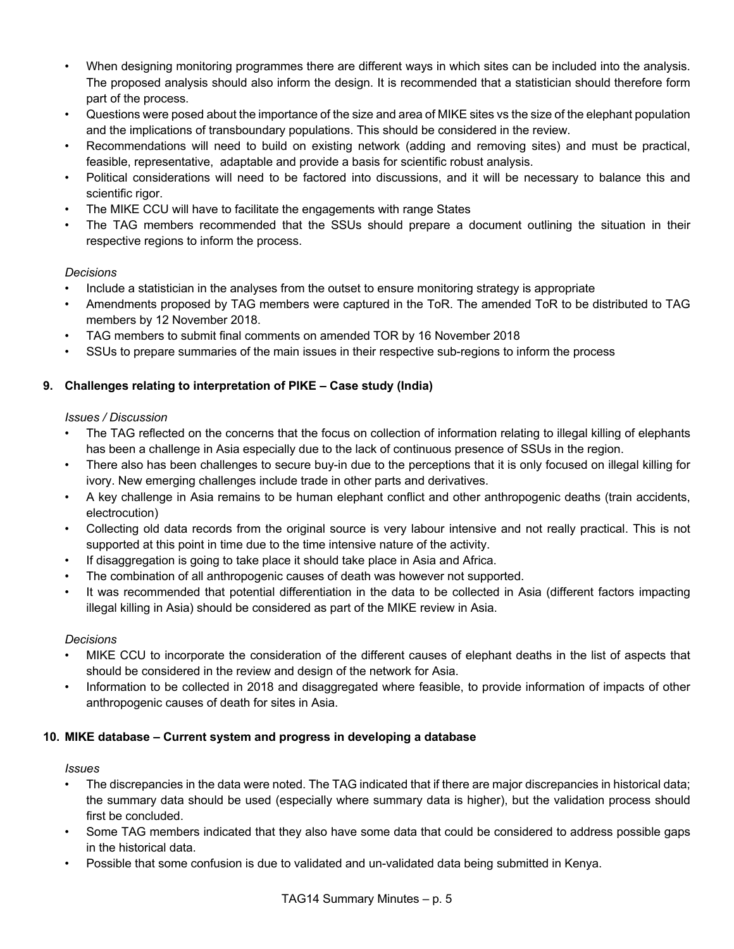- When designing monitoring programmes there are different ways in which sites can be included into the analysis. The proposed analysis should also inform the design. It is recommended that a statistician should therefore form part of the process.
- Questions were posed about the importance of the size and area of MIKE sites vs the size of the elephant population and the implications of transboundary populations. This should be considered in the review.
- Recommendations will need to build on existing network (adding and removing sites) and must be practical, feasible, representative, adaptable and provide a basis for scientific robust analysis.
- Political considerations will need to be factored into discussions, and it will be necessary to balance this and scientific rigor.
- The MIKE CCU will have to facilitate the engagements with range States
- The TAG members recommended that the SSUs should prepare a document outlining the situation in their respective regions to inform the process.

- Include a statistician in the analyses from the outset to ensure monitoring strategy is appropriate
- Amendments proposed by TAG members were captured in the ToR. The amended ToR to be distributed to TAG members by 12 November 2018.
- TAG members to submit final comments on amended TOR by 16 November 2018
- SSUs to prepare summaries of the main issues in their respective sub-regions to inform the process

## **9. Challenges relating to interpretation of PIKE – Case study (India)**

### *Issues / Discussion*

- The TAG reflected on the concerns that the focus on collection of information relating to illegal killing of elephants has been a challenge in Asia especially due to the lack of continuous presence of SSUs in the region.
- There also has been challenges to secure buy-in due to the perceptions that it is only focused on illegal killing for ivory. New emerging challenges include trade in other parts and derivatives.
- A key challenge in Asia remains to be human elephant conflict and other anthropogenic deaths (train accidents, electrocution)
- Collecting old data records from the original source is very labour intensive and not really practical. This is not supported at this point in time due to the time intensive nature of the activity.
- If disaggregation is going to take place it should take place in Asia and Africa.
- The combination of all anthropogenic causes of death was however not supported.
- It was recommended that potential differentiation in the data to be collected in Asia (different factors impacting illegal killing in Asia) should be considered as part of the MIKE review in Asia.

### *Decisions*

- MIKE CCU to incorporate the consideration of the different causes of elephant deaths in the list of aspects that should be considered in the review and design of the network for Asia.
- Information to be collected in 2018 and disaggregated where feasible, to provide information of impacts of other anthropogenic causes of death for sites in Asia.

### **10. MIKE database – Current system and progress in developing a database**

#### *Issues*

- The discrepancies in the data were noted. The TAG indicated that if there are major discrepancies in historical data; the summary data should be used (especially where summary data is higher), but the validation process should first be concluded.
- Some TAG members indicated that they also have some data that could be considered to address possible gaps in the historical data.
- Possible that some confusion is due to validated and un-validated data being submitted in Kenya.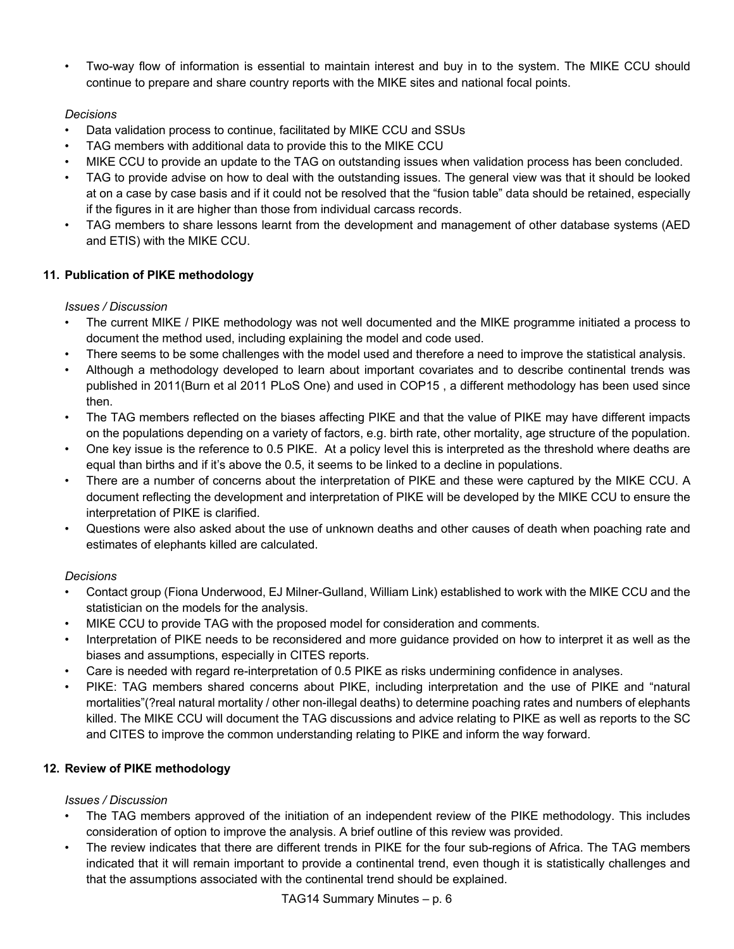• Two-way flow of information is essential to maintain interest and buy in to the system. The MIKE CCU should continue to prepare and share country reports with the MIKE sites and national focal points.

# *Decisions*

- Data validation process to continue, facilitated by MIKE CCU and SSUs
- TAG members with additional data to provide this to the MIKE CCU
- MIKE CCU to provide an update to the TAG on outstanding issues when validation process has been concluded.
- TAG to provide advise on how to deal with the outstanding issues. The general view was that it should be looked at on a case by case basis and if it could not be resolved that the "fusion table" data should be retained, especially if the figures in it are higher than those from individual carcass records.
- TAG members to share lessons learnt from the development and management of other database systems (AED and ETIS) with the MIKE CCU.

# **11. Publication of PIKE methodology**

# *Issues / Discussion*

- The current MIKE / PIKE methodology was not well documented and the MIKE programme initiated a process to document the method used, including explaining the model and code used.
- There seems to be some challenges with the model used and therefore a need to improve the statistical analysis.
- Although a methodology developed to learn about important covariates and to describe continental trends was published in 2011(Burn et al 2011 PLoS One) and used in COP15 , a different methodology has been used since then.
- The TAG members reflected on the biases affecting PIKE and that the value of PIKE may have different impacts on the populations depending on a variety of factors, e.g. birth rate, other mortality, age structure of the population.
- One key issue is the reference to 0.5 PIKE. At a policy level this is interpreted as the threshold where deaths are equal than births and if it's above the 0.5, it seems to be linked to a decline in populations.
- There are a number of concerns about the interpretation of PIKE and these were captured by the MIKE CCU. A document reflecting the development and interpretation of PIKE will be developed by the MIKE CCU to ensure the interpretation of PIKE is clarified.
- Questions were also asked about the use of unknown deaths and other causes of death when poaching rate and estimates of elephants killed are calculated.

# *Decisions*

- Contact group (Fiona Underwood, EJ Milner-Gulland, William Link) established to work with the MIKE CCU and the statistician on the models for the analysis.
- MIKE CCU to provide TAG with the proposed model for consideration and comments.
- Interpretation of PIKE needs to be reconsidered and more guidance provided on how to interpret it as well as the biases and assumptions, especially in CITES reports.
- Care is needed with regard re-interpretation of 0.5 PIKE as risks undermining confidence in analyses.
- PIKE: TAG members shared concerns about PIKE, including interpretation and the use of PIKE and "natural mortalities"(?real natural mortality / other non-illegal deaths) to determine poaching rates and numbers of elephants killed. The MIKE CCU will document the TAG discussions and advice relating to PIKE as well as reports to the SC and CITES to improve the common understanding relating to PIKE and inform the way forward.

# **12. Review of PIKE methodology**

- The TAG members approved of the initiation of an independent review of the PIKE methodology. This includes consideration of option to improve the analysis. A brief outline of this review was provided.
- The review indicates that there are different trends in PIKE for the four sub-regions of Africa. The TAG members indicated that it will remain important to provide a continental trend, even though it is statistically challenges and that the assumptions associated with the continental trend should be explained.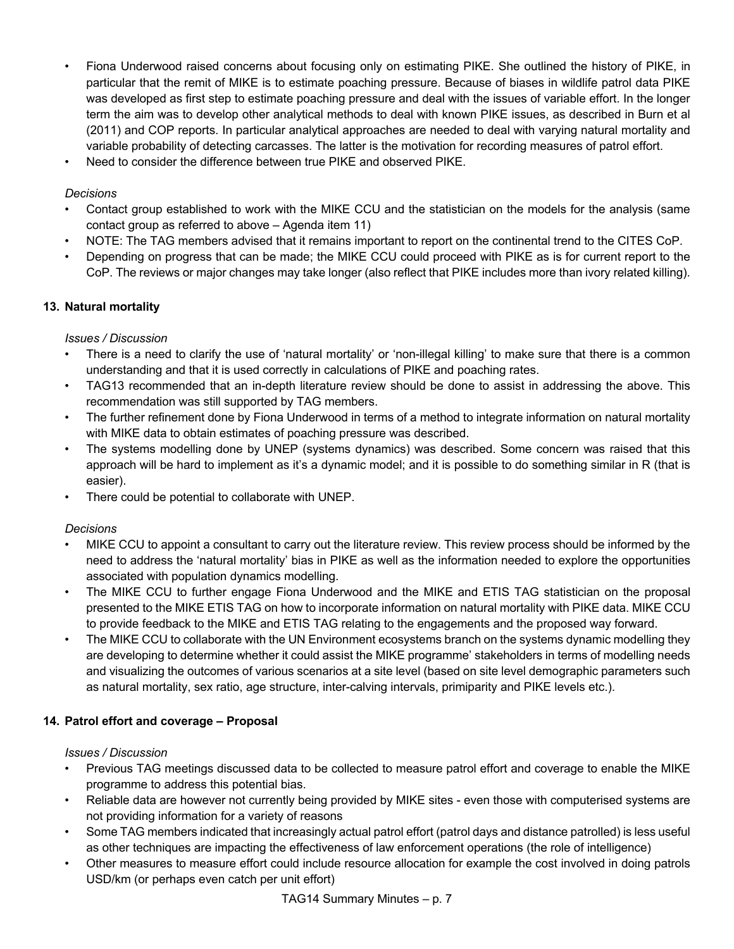- Fiona Underwood raised concerns about focusing only on estimating PIKE. She outlined the history of PIKE, in particular that the remit of MIKE is to estimate poaching pressure. Because of biases in wildlife patrol data PIKE was developed as first step to estimate poaching pressure and deal with the issues of variable effort. In the longer term the aim was to develop other analytical methods to deal with known PIKE issues, as described in Burn et al (2011) and COP reports. In particular analytical approaches are needed to deal with varying natural mortality and variable probability of detecting carcasses. The latter is the motivation for recording measures of patrol effort.
- Need to consider the difference between true PIKE and observed PIKE.

- Contact group established to work with the MIKE CCU and the statistician on the models for the analysis (same contact group as referred to above – Agenda item 11)
- NOTE: The TAG members advised that it remains important to report on the continental trend to the CITES CoP.
- Depending on progress that can be made; the MIKE CCU could proceed with PIKE as is for current report to the CoP. The reviews or major changes may take longer (also reflect that PIKE includes more than ivory related killing).

### **13. Natural mortality**

#### *Issues / Discussion*

- There is a need to clarify the use of 'natural mortality' or 'non-illegal killing' to make sure that there is a common understanding and that it is used correctly in calculations of PIKE and poaching rates.
- TAG13 recommended that an in-depth literature review should be done to assist in addressing the above. This recommendation was still supported by TAG members.
- The further refinement done by Fiona Underwood in terms of a method to integrate information on natural mortality with MIKE data to obtain estimates of poaching pressure was described.
- The systems modelling done by UNEP (systems dynamics) was described. Some concern was raised that this approach will be hard to implement as it's a dynamic model; and it is possible to do something similar in R (that is easier).
- There could be potential to collaborate with UNEP.

#### *Decisions*

- MIKE CCU to appoint a consultant to carry out the literature review. This review process should be informed by the need to address the 'natural mortality' bias in PIKE as well as the information needed to explore the opportunities associated with population dynamics modelling.
- The MIKE CCU to further engage Fiona Underwood and the MIKE and ETIS TAG statistician on the proposal presented to the MIKE ETIS TAG on how to incorporate information on natural mortality with PIKE data. MIKE CCU to provide feedback to the MIKE and ETIS TAG relating to the engagements and the proposed way forward.
- The MIKE CCU to collaborate with the UN Environment ecosystems branch on the systems dynamic modelling they are developing to determine whether it could assist the MIKE programme' stakeholders in terms of modelling needs and visualizing the outcomes of various scenarios at a site level (based on site level demographic parameters such as natural mortality, sex ratio, age structure, inter-calving intervals, primiparity and PIKE levels etc.).

### **14. Patrol effort and coverage – Proposal**

- Previous TAG meetings discussed data to be collected to measure patrol effort and coverage to enable the MIKE programme to address this potential bias.
- Reliable data are however not currently being provided by MIKE sites even those with computerised systems are not providing information for a variety of reasons
- Some TAG members indicated that increasingly actual patrol effort (patrol days and distance patrolled) is less useful as other techniques are impacting the effectiveness of law enforcement operations (the role of intelligence)
- Other measures to measure effort could include resource allocation for example the cost involved in doing patrols USD/km (or perhaps even catch per unit effort)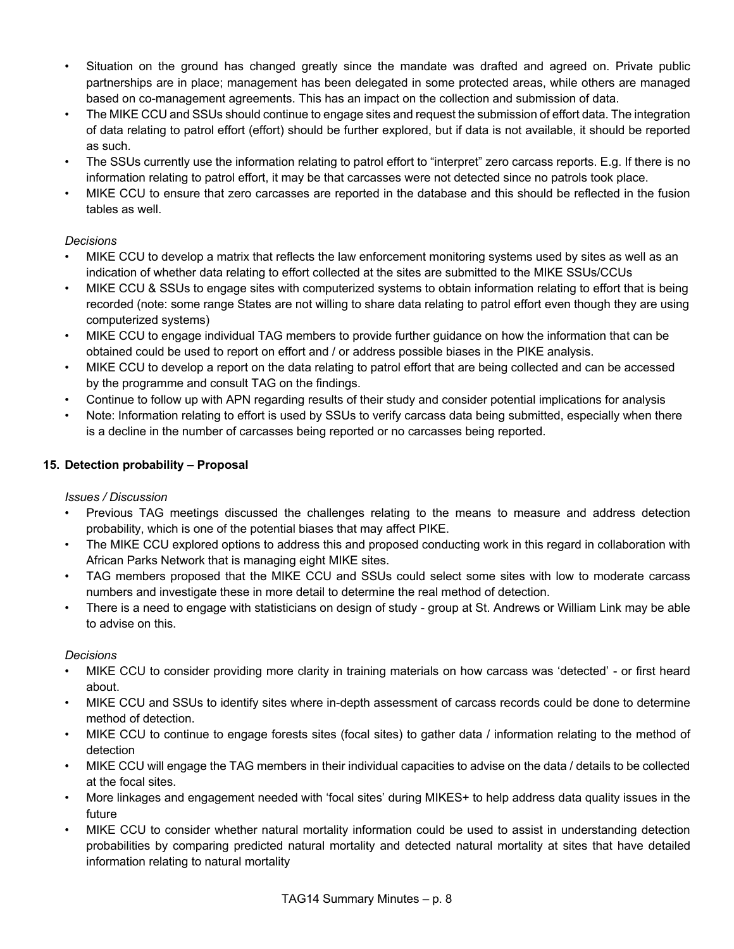- Situation on the ground has changed greatly since the mandate was drafted and agreed on. Private public partnerships are in place; management has been delegated in some protected areas, while others are managed based on co-management agreements. This has an impact on the collection and submission of data.
- The MIKE CCU and SSUs should continue to engage sites and request the submission of effort data. The integration of data relating to patrol effort (effort) should be further explored, but if data is not available, it should be reported as such.
- The SSUs currently use the information relating to patrol effort to "interpret" zero carcass reports. E.g. If there is no information relating to patrol effort, it may be that carcasses were not detected since no patrols took place.
- MIKE CCU to ensure that zero carcasses are reported in the database and this should be reflected in the fusion tables as well.

- MIKE CCU to develop a matrix that reflects the law enforcement monitoring systems used by sites as well as an indication of whether data relating to effort collected at the sites are submitted to the MIKE SSUs/CCUs
- MIKE CCU & SSUs to engage sites with computerized systems to obtain information relating to effort that is being recorded (note: some range States are not willing to share data relating to patrol effort even though they are using computerized systems)
- MIKE CCU to engage individual TAG members to provide further guidance on how the information that can be obtained could be used to report on effort and / or address possible biases in the PIKE analysis.
- MIKE CCU to develop a report on the data relating to patrol effort that are being collected and can be accessed by the programme and consult TAG on the findings.
- Continue to follow up with APN regarding results of their study and consider potential implications for analysis
- Note: Information relating to effort is used by SSUs to verify carcass data being submitted, especially when there is a decline in the number of carcasses being reported or no carcasses being reported.

## **15. Detection probability – Proposal**

### *Issues / Discussion*

- Previous TAG meetings discussed the challenges relating to the means to measure and address detection probability, which is one of the potential biases that may affect PIKE.
- The MIKE CCU explored options to address this and proposed conducting work in this regard in collaboration with African Parks Network that is managing eight MIKE sites.
- TAG members proposed that the MIKE CCU and SSUs could select some sites with low to moderate carcass numbers and investigate these in more detail to determine the real method of detection.
- There is a need to engage with statisticians on design of study group at St. Andrews or William Link may be able to advise on this.

### *Decisions*

- MIKE CCU to consider providing more clarity in training materials on how carcass was 'detected' or first heard about.
- MIKE CCU and SSUs to identify sites where in-depth assessment of carcass records could be done to determine method of detection.
- MIKE CCU to continue to engage forests sites (focal sites) to gather data / information relating to the method of detection
- MIKE CCU will engage the TAG members in their individual capacities to advise on the data / details to be collected at the focal sites.
- More linkages and engagement needed with 'focal sites' during MIKES+ to help address data quality issues in the future
- MIKE CCU to consider whether natural mortality information could be used to assist in understanding detection probabilities by comparing predicted natural mortality and detected natural mortality at sites that have detailed information relating to natural mortality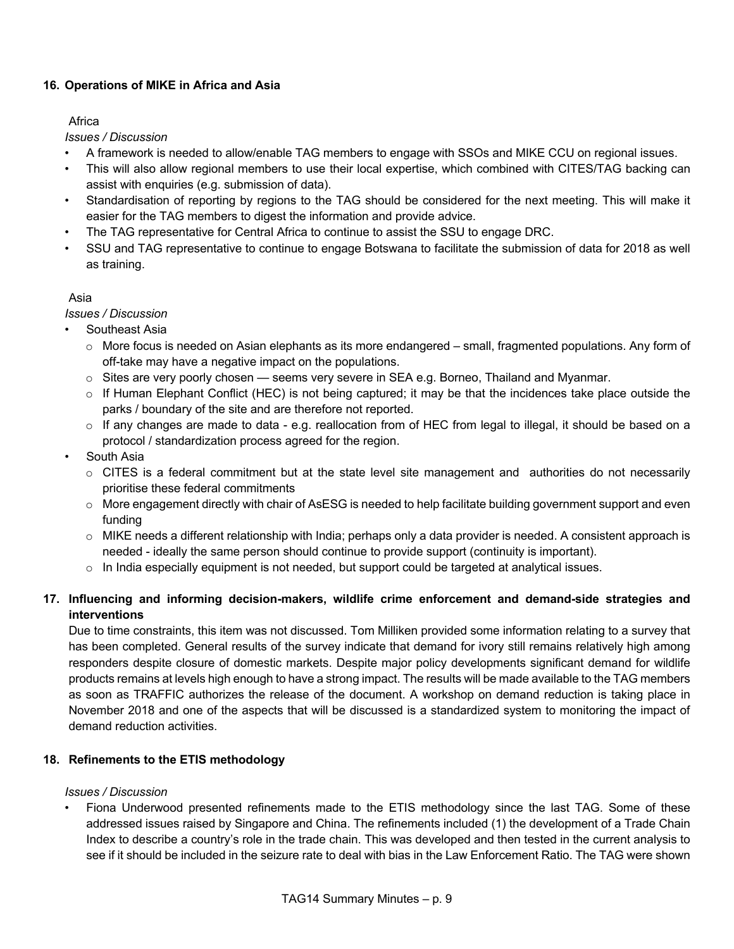## **16. Operations of MIKE in Africa and Asia**

### **Africa**

*Issues / Discussion*

- A framework is needed to allow/enable TAG members to engage with SSOs and MIKE CCU on regional issues.
- This will also allow regional members to use their local expertise, which combined with CITES/TAG backing can assist with enquiries (e.g. submission of data).
- Standardisation of reporting by regions to the TAG should be considered for the next meeting. This will make it easier for the TAG members to digest the information and provide advice.
- The TAG representative for Central Africa to continue to assist the SSU to engage DRC.
- SSU and TAG representative to continue to engage Botswana to facilitate the submission of data for 2018 as well as training.

## Asia

*Issues / Discussion*

- Southeast Asia
	- o More focus is needed on Asian elephants as its more endangered small, fragmented populations. Any form of off-take may have a negative impact on the populations.
	- $\circ$  Sites are very poorly chosen seems very severe in SEA e.g. Borneo, Thailand and Myanmar.
	- o If Human Elephant Conflict (HEC) is not being captured; it may be that the incidences take place outside the parks / boundary of the site and are therefore not reported.
	- o If any changes are made to data e.g. reallocation from of HEC from legal to illegal, it should be based on a protocol / standardization process agreed for the region.
- South Asia
	- $\circ$  CITES is a federal commitment but at the state level site management and authorities do not necessarily prioritise these federal commitments
	- o More engagement directly with chair of AsESG is needed to help facilitate building government support and even funding
	- $\circ$  MIKE needs a different relationship with India; perhaps only a data provider is needed. A consistent approach is needed - ideally the same person should continue to provide support (continuity is important).
	- $\circ$  In India especially equipment is not needed, but support could be targeted at analytical issues.

# **17. Influencing and informing decision-makers, wildlife crime enforcement and demand-side strategies and interventions**

Due to time constraints, this item was not discussed. Tom Milliken provided some information relating to a survey that has been completed. General results of the survey indicate that demand for ivory still remains relatively high among responders despite closure of domestic markets. Despite major policy developments significant demand for wildlife products remains at levels high enough to have a strong impact. The results will be made available to the TAG members as soon as TRAFFIC authorizes the release of the document. A workshop on demand reduction is taking place in November 2018 and one of the aspects that will be discussed is a standardized system to monitoring the impact of demand reduction activities.

# **18. Refinements to the ETIS methodology**

### *Issues / Discussion*

• Fiona Underwood presented refinements made to the ETIS methodology since the last TAG. Some of these addressed issues raised by Singapore and China. The refinements included (1) the development of a Trade Chain Index to describe a country's role in the trade chain. This was developed and then tested in the current analysis to see if it should be included in the seizure rate to deal with bias in the Law Enforcement Ratio. The TAG were shown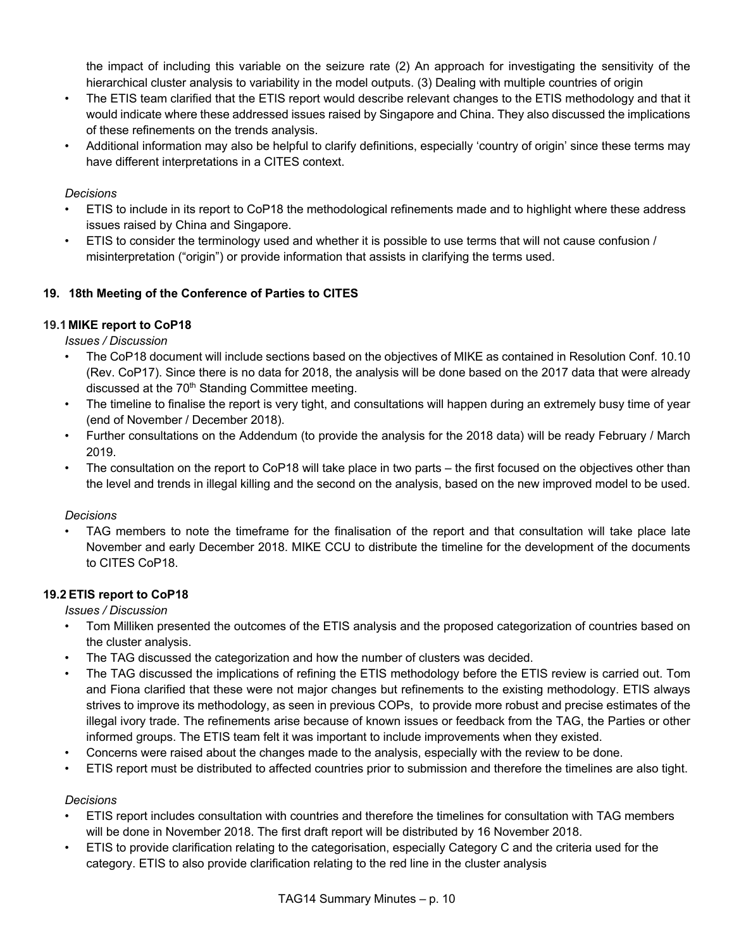the impact of including this variable on the seizure rate (2) An approach for investigating the sensitivity of the hierarchical cluster analysis to variability in the model outputs. (3) Dealing with multiple countries of origin

- The ETIS team clarified that the ETIS report would describe relevant changes to the ETIS methodology and that it would indicate where these addressed issues raised by Singapore and China. They also discussed the implications of these refinements on the trends analysis.
- Additional information may also be helpful to clarify definitions, especially 'country of origin' since these terms may have different interpretations in a CITES context.

## *Decisions*

- ETIS to include in its report to CoP18 the methodological refinements made and to highlight where these address issues raised by China and Singapore.
- ETIS to consider the terminology used and whether it is possible to use terms that will not cause confusion / misinterpretation ("origin") or provide information that assists in clarifying the terms used.

## **19. 18th Meeting of the Conference of Parties to CITES**

## **19.1 MIKE report to CoP18**

*Issues / Discussion*

- The CoP18 document will include sections based on the objectives of MIKE as contained in Resolution Conf. 10.10 (Rev. CoP17). Since there is no data for 2018, the analysis will be done based on the 2017 data that were already discussed at the 70<sup>th</sup> Standing Committee meeting.
- The timeline to finalise the report is very tight, and consultations will happen during an extremely busy time of year (end of November / December 2018).
- Further consultations on the Addendum (to provide the analysis for the 2018 data) will be ready February / March 2019.
- The consultation on the report to CoP18 will take place in two parts the first focused on the objectives other than the level and trends in illegal killing and the second on the analysis, based on the new improved model to be used.

### *Decisions*

• TAG members to note the timeframe for the finalisation of the report and that consultation will take place late November and early December 2018. MIKE CCU to distribute the timeline for the development of the documents to CITES CoP18.

### **19.2 ETIS report to CoP18**

*Issues / Discussion*

- Tom Milliken presented the outcomes of the ETIS analysis and the proposed categorization of countries based on the cluster analysis.
- The TAG discussed the categorization and how the number of clusters was decided.
- The TAG discussed the implications of refining the ETIS methodology before the ETIS review is carried out. Tom and Fiona clarified that these were not major changes but refinements to the existing methodology. ETIS always strives to improve its methodology, as seen in previous COPs, to provide more robust and precise estimates of the illegal ivory trade. The refinements arise because of known issues or feedback from the TAG, the Parties or other informed groups. The ETIS team felt it was important to include improvements when they existed.
- Concerns were raised about the changes made to the analysis, especially with the review to be done.
- ETIS report must be distributed to affected countries prior to submission and therefore the timelines are also tight.

### *Decisions*

- ETIS report includes consultation with countries and therefore the timelines for consultation with TAG members will be done in November 2018. The first draft report will be distributed by 16 November 2018.
- ETIS to provide clarification relating to the categorisation, especially Category C and the criteria used for the category. ETIS to also provide clarification relating to the red line in the cluster analysis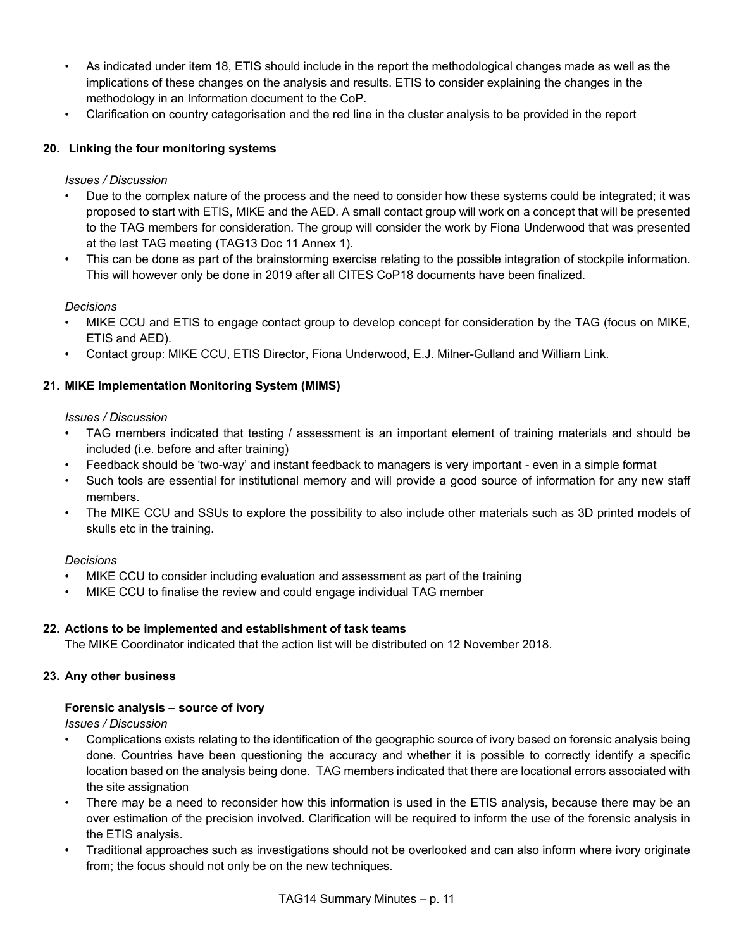- As indicated under item 18, ETIS should include in the report the methodological changes made as well as the implications of these changes on the analysis and results. ETIS to consider explaining the changes in the methodology in an Information document to the CoP.
- Clarification on country categorisation and the red line in the cluster analysis to be provided in the report

# **20. Linking the four monitoring systems**

## *Issues / Discussion*

- Due to the complex nature of the process and the need to consider how these systems could be integrated; it was proposed to start with ETIS, MIKE and the AED. A small contact group will work on a concept that will be presented to the TAG members for consideration. The group will consider the work by Fiona Underwood that was presented at the last TAG meeting (TAG13 Doc 11 Annex 1).
- This can be done as part of the brainstorming exercise relating to the possible integration of stockpile information. This will however only be done in 2019 after all CITES CoP18 documents have been finalized.

## *Decisions*

- MIKE CCU and ETIS to engage contact group to develop concept for consideration by the TAG (focus on MIKE, ETIS and AED).
- Contact group: MIKE CCU, ETIS Director, Fiona Underwood, E.J. Milner-Gulland and William Link.

# **21. MIKE Implementation Monitoring System (MIMS)**

## *Issues / Discussion*

- TAG members indicated that testing / assessment is an important element of training materials and should be included (i.e. before and after training)
- Feedback should be 'two-way' and instant feedback to managers is very important even in a simple format
- Such tools are essential for institutional memory and will provide a good source of information for any new staff members.
- The MIKE CCU and SSUs to explore the possibility to also include other materials such as 3D printed models of skulls etc in the training.

# *Decisions*

- MIKE CCU to consider including evaluation and assessment as part of the training
- MIKE CCU to finalise the review and could engage individual TAG member

# **22. Actions to be implemented and establishment of task teams**

The MIKE Coordinator indicated that the action list will be distributed on 12 November 2018.

# **23. Any other business**

### **Forensic analysis – source of ivory**

- Complications exists relating to the identification of the geographic source of ivory based on forensic analysis being done. Countries have been questioning the accuracy and whether it is possible to correctly identify a specific location based on the analysis being done. TAG members indicated that there are locational errors associated with the site assignation
- There may be a need to reconsider how this information is used in the ETIS analysis, because there may be an over estimation of the precision involved. Clarification will be required to inform the use of the forensic analysis in the ETIS analysis.
- Traditional approaches such as investigations should not be overlooked and can also inform where ivory originate from; the focus should not only be on the new techniques.